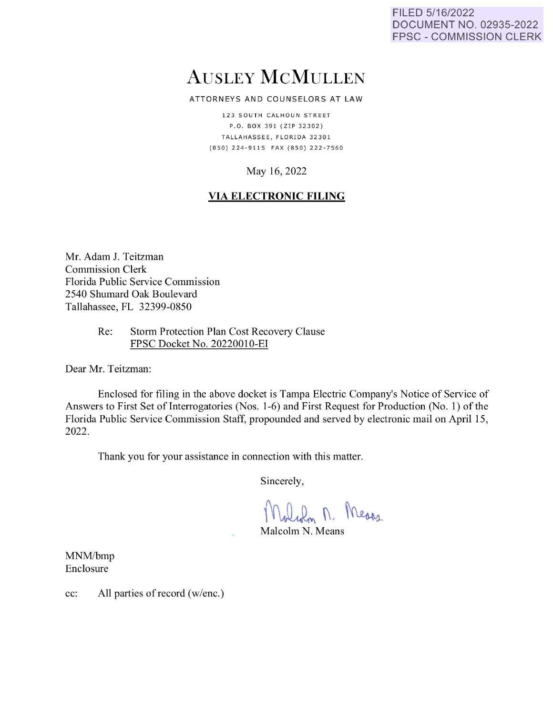FILED 5/16/2022 DOCUMENT NO. 02935-2022 FPSC - COMMISSION CLERK

# AUSLEY McMULLEN

ATTORNEYS AND COUNSELORS AT LAW

123 SOUTH CALHOUN STREET P.O. BOX 391 (ZIP 32302) TALLAHASSEE, FLORIDA 32301 {850) 224· 9 11 5 FAX {850) 222 · 7560

## May 16, 2022

## **VIA ELECTRONIC FILING**

Mr. Adam J. Teitzman Commission Clerk Florida Public Service Commission 2540 Shumard Oak Boulevard Tallahassee, FL 32399-0850

> Re: Storm Protection Plan Cost Recovery Clause FPSC Docket No. 20220010-EI

Dear Mr. Teitzman:

Enclosed for filing in the above docket is Tampa Electric Company's Notice of Service of Answers to First Set of Interrogatories (Nos. 1-6) and First Request for Production (No. 1) of the Florida Public Service Commission Staff, propounded and served by electronic mail on April 15, 2022.

Thank you for your assistance in connection with this matter.

Sincerely,

Molidm M. Means

M alcolm N. Means

MNM/bmp Enclosure

cc: All parties of record (w/enc.)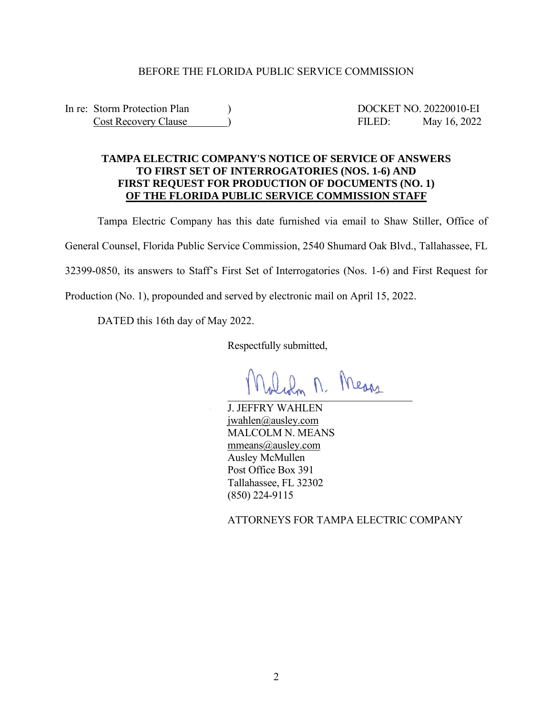#### BEFORE THE FLORIDA PUBLIC SERVICE COMMISSION

In re: Storm Protection Plan ) DOCKET NO. 20220010-EI Cost Recovery Clause ) FILED: May 16, 2022

### **TAMPA ELECTRIC COMPANY'S NOTICE OF SERVICE OF ANSWERS TO FIRST SET OF INTERROGATORIES (NOS. 1-6) AND FIRST REQUEST FOR PRODUCTION OF DOCUMENTS (NO. 1) OF THE FLORIDA PUBLIC SERVICE COMMISSION STAFF**

Tampa Electric Company has this date furnished via email to Shaw Stiller, Office of General Counsel, Florida Public Service Commission, 2540 Shumard Oak Blvd., Tallahassee, FL 32399-0850, its answers to Staff's First Set of Interrogatories (Nos. 1-6) and First Request for Production (No. 1), propounded and served by electronic mail on April 15, 2022.

DATED this 16th day of May 2022.

Respectfully submitted,

 $-$ 

J. JEFFRY WAHLEN jwahlen@ausley.com MALCOLM N. MEANS mmeans@ausley.com Ausley McMullen Post Office Box 391 Tallahassee, FL 32302 (850) 224-9115

ATTORNEYS FOR TAMPA ELECTRIC COMPANY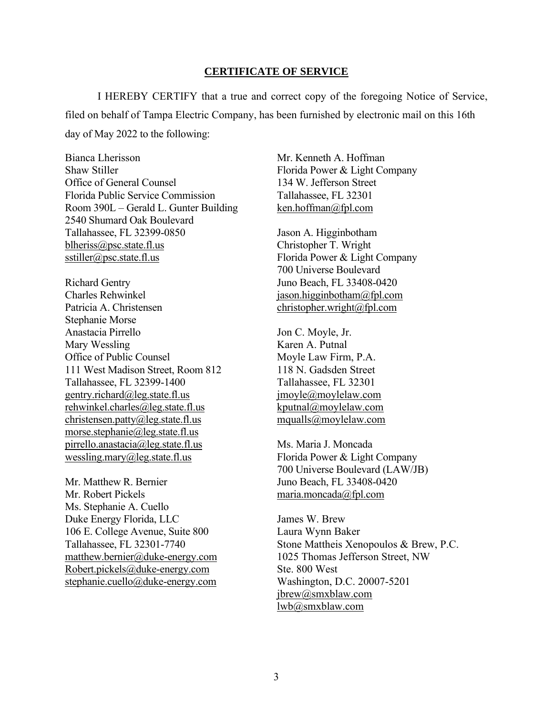#### **CERTIFICATE OF SERVICE**

I HEREBY CERTIFY that a true and correct copy of the foregoing Notice of Service, filed on behalf of Tampa Electric Company, has been furnished by electronic mail on this 16th day of May 2022 to the following:

Bianca Lherisson Shaw Stiller Office of General Counsel Florida Public Service Commission Room 390L – Gerald L. Gunter Building 2540 Shumard Oak Boulevard Tallahassee, FL 32399-0850 blheriss@psc.state.fl.us sstiller@psc.state.fl.us

Richard Gentry Charles Rehwinkel Patricia A. Christensen Stephanie Morse Anastacia Pirrello Mary Wessling Office of Public Counsel 111 West Madison Street, Room 812 Tallahassee, FL 32399-1400 gentry.richard@leg.state.fl.us rehwinkel.charles@leg.state.fl.us christensen.patty@leg.state.fl.us morse.stephanie@leg.state.fl.us pirrello.anastacia@leg.state.fl.us wessling.mary@leg.state.fl.us

Mr. Matthew R. Bernier Mr. Robert Pickels Ms. Stephanie A. Cuello Duke Energy Florida, LLC 106 E. College Avenue, Suite 800 Tallahassee, FL 32301-7740 matthew.bernier@duke-energy.com Robert.pickels@duke-energy.com stephanie.cuello@duke-energy.com

Mr. Kenneth A. Hoffman Florida Power & Light Company 134 W. Jefferson Street Tallahassee, FL 32301 ken.hoffman@fpl.com

Jason A. Higginbotham Christopher T. Wright Florida Power & Light Company 700 Universe Boulevard Juno Beach, FL 33408-0420 jason.higginbotham@fpl.com christopher.wright@fpl.com

Jon C. Moyle, Jr. Karen A. Putnal Moyle Law Firm, P.A. 118 N. Gadsden Street Tallahassee, FL 32301 jmoyle@moylelaw.com kputnal@moylelaw.com mqualls@moylelaw.com

Ms. Maria J. Moncada Florida Power & Light Company 700 Universe Boulevard (LAW/JB) Juno Beach, FL 33408-0420 maria.moncada@fpl.com

James W. Brew Laura Wynn Baker Stone Mattheis Xenopoulos & Brew, P.C. 1025 Thomas Jefferson Street, NW Ste. 800 West Washington, D.C. 20007-5201 jbrew@smxblaw.com lwb@smxblaw.com